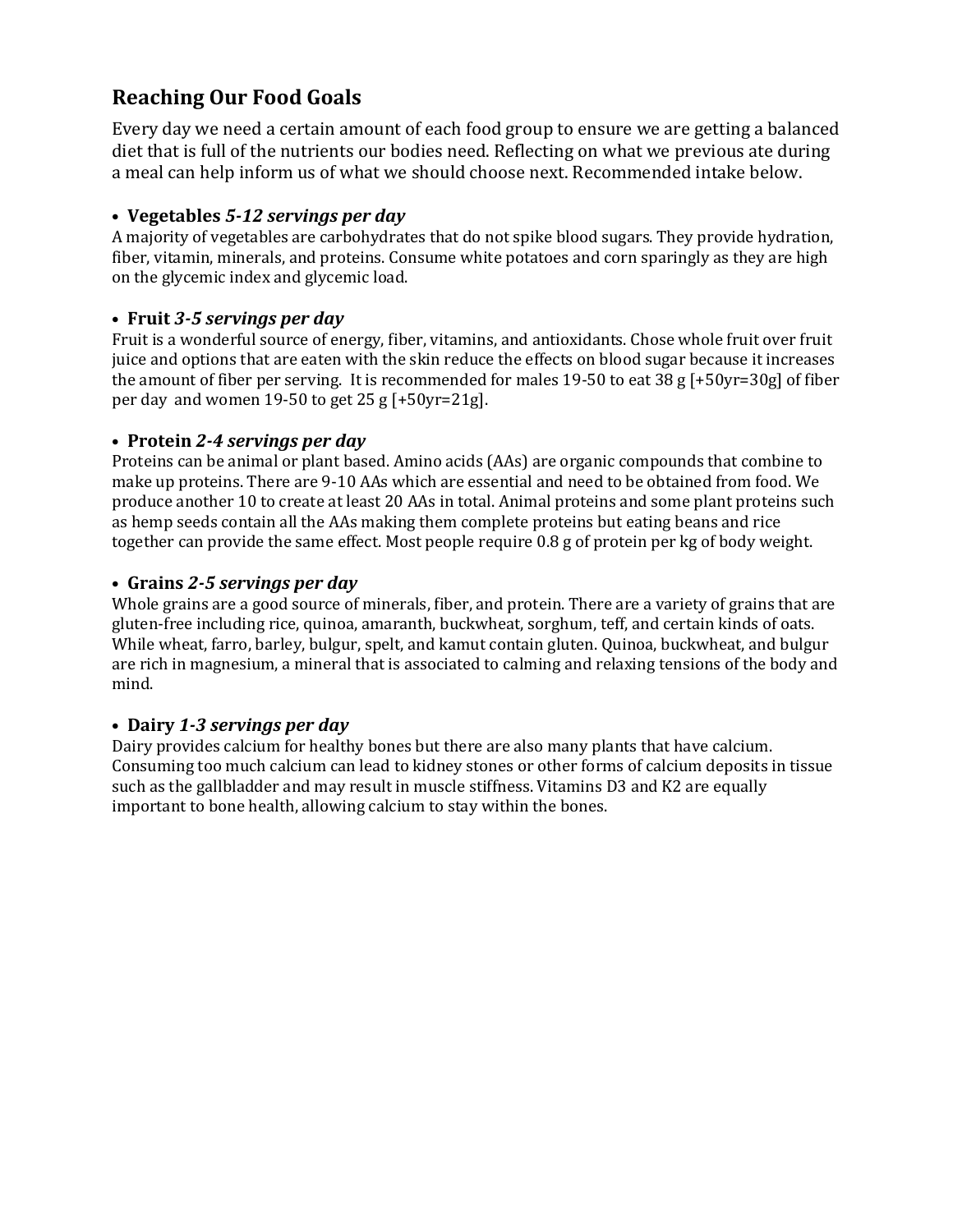# **Reaching Our Food Goals**

Every day we need a certain amount of each food group to ensure we are getting a balanced diet that is full of the nutrients our bodies need. Reflecting on what we previous ate during a meal can help inform us of what we should choose next. Recommended intake below.

#### **• Vegetables** *5-12 servings per day*

A majority of vegetables are carbohydrates that do not spike blood sugars. They provide hydration, fiber, vitamin, minerals, and proteins. Consume white potatoes and corn sparingly as they are high on the glycemic index and glycemic load.

## **• Fruit** *3-5 servings per day*

Fruit is a wonderful source of energy, fiber, vitamins, and antioxidants. Chose whole fruit over fruit juice and options that are eaten with the skin reduce the effects on blood sugar because it increases the amount of fiber per serving. It is recommended for males 19-50 to eat 38 g [+50yr=30g] of fiber per day and women 19-50 to get 25 g [+50yr=21g].

## **• Protein** *2-4 servings per day*

Proteins can be animal or plant based. Amino acids (AAs) are organic compounds that combine to make up proteins. There are 9-10 AAs which are essential and need to be obtained from food. We produce another 10 to create at least 20 AAs in total. Animal proteins and some plant proteins such as hemp seeds contain all the AAs making them complete proteins but eating beans and rice together can provide the same effect. Most people require 0.8 g of protein per kg of body weight.

## **• Grains** *2-5 servings per day*

Whole grains are a good source of minerals, fiber, and protein. There are a variety of grains that are gluten-free including rice, quinoa, amaranth, buckwheat, sorghum, teff, and certain kinds of oats. While wheat, farro, barley, bulgur, spelt, and kamut contain gluten. Quinoa, buckwheat, and bulgur are rich in magnesium, a mineral that is associated to calming and relaxing tensions of the body and mind.

#### **• Dairy** *1-3 servings per day*

Dairy provides calcium for healthy bones but there are also many plants that have calcium. Consuming too much calcium can lead to kidney stones or other forms of calcium deposits in tissue such as the gallbladder and may result in muscle stiffness. Vitamins D3 and K2 are equally important to bone health, allowing calcium to stay within the bones.